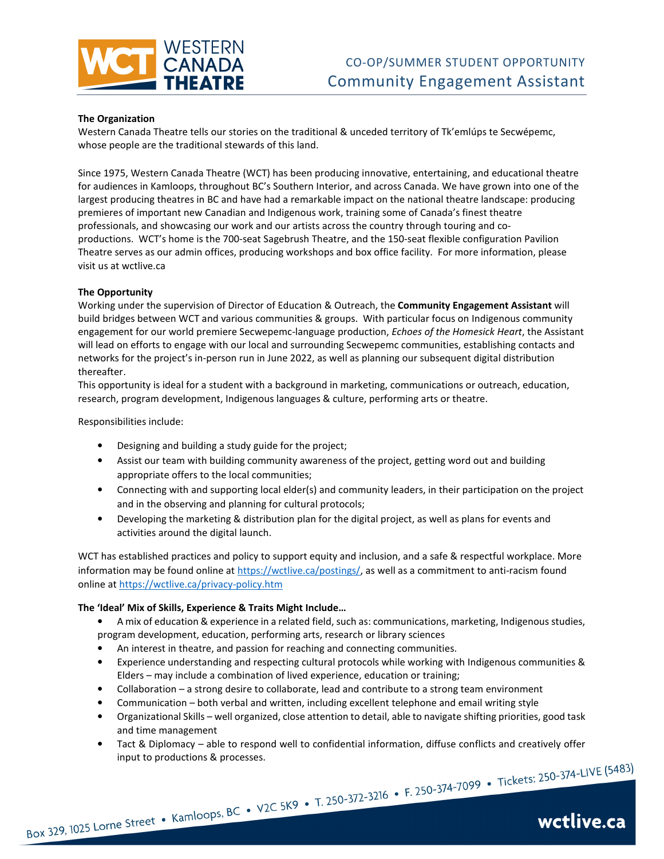

#### **The Organization**

Western Canada Theatre tells our stories on the traditional & unceded territory of Tk'emlúps te Secwépemc, whose people are the traditional stewards of this land.

Since 1975, Western Canada Theatre (WCT) has been producing innovative, entertaining, and educational theatre for audiences in Kamloops, throughout BC's Southern Interior, and across Canada. We have grown into one of the largest producing theatres in BC and have had a remarkable impact on the national theatre landscape: producing premieres of important new Canadian and Indigenous work, training some of Canada's finest theatre professionals, and showcasing our work and our artists across the country through touring and coproductions. WCT's home is the 700-seat Sagebrush Theatre, and the 150-seat flexible configuration Pavilion Theatre serves as our admin offices, producing workshops and box office facility. For more information, please visit us at wctlive.ca

### **The Opportunity**

Working under the supervision of Director of Education & Outreach, the **Community Engagement Assistant** will build bridges between WCT and various communities & groups. With particular focus on Indigenous community engagement for our world premiere Secwepemc-language production, *Echoes of the Homesick Heart*, the Assistant will lead on efforts to engage with our local and surrounding Secwepemc communities, establishing contacts and networks for the project's in-person run in June 2022, as well as planning our subsequent digital distribution thereafter.

This opportunity is ideal for a student with a background in marketing, communications or outreach, education, research, program development, Indigenous languages & culture, performing arts or theatre.

Responsibilities include:

- Designing and building a study guide for the project;
- Assist our team with building community awareness of the project, getting word out and building appropriate offers to the local communities;
- Connecting with and supporting local elder(s) and community leaders, in their participation on the project and in the observing and planning for cultural protocols;
- Developing the marketing & distribution plan for the digital project, as well as plans for events and activities around the digital launch.

WCT has established practices and policy to support equity and inclusion, and a safe & respectful workplace. More information may be found online at https://wctlive.ca/postings/, as well as a commitment to anti-racism found online at https://wctlive.ca/privacy-policy.htm

#### **The 'Ideal' Mix of Skills, Experience & Traits Might Include…**

- A mix of education & experience in a related field, such as: communications, marketing, Indigenous studies, program development, education, performing arts, research or library sciences
- An interest in theatre, and passion for reaching and connecting communities.
- Experience understanding and respecting cultural protocols while working with Indigenous communities & Elders – may include a combination of lived experience, education or training;
- Collaboration a strong desire to collaborate, lead and contribute to a strong team environment
- Communication both verbal and written, including excellent telephone and email writing style
- Organizational Skills well organized, close attention to detail, able to navigate shifting priorities, good task and time management
- Tact & Diplomacy able to respond well to confidential information, diffuse conflicts and creatively offer input to productions & processes.<br>Box 329, 1025 Lorne Street • Kamloops, BC • V2C 5K9 • T. 250-372-3216 • F. 250-374-7099 • Tickets: 250-374-LIVE (5483)